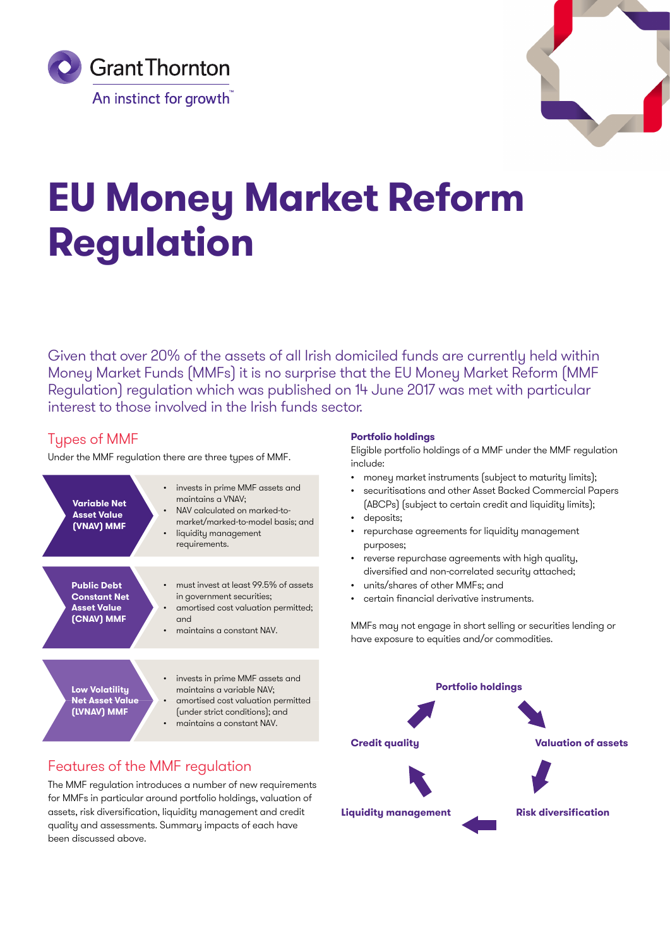



# **EU Money Market Reform Regulation**

Given that over 20% of the assets of all Irish domiciled funds are currently held within Money Market Funds (MMFs) it is no surprise that the [EU Money Market Reform \(MMF](http://eur-lex.europa.eu/legal-content/EN/TXT/PDF/?uri=CELEX:32017R1131&from=EN)  [Regulation\) regulation](http://eur-lex.europa.eu/legal-content/EN/TXT/PDF/?uri=CELEX:32017R1131&from=EN) which was published on 14 June 2017 was met with particular interest to those involved in the Irish funds sector.

# **Tupes of MMF**

Under the MMF regulation there are three types of MMF.

| <b>Variable Net</b><br><b>Asset Value</b><br>(VNAV) MMF                       | invests in prime MMF assets and<br>maintains a VNAV;<br>NAV calculated on marked-to-<br>market/marked-to-model basis; and<br>liquidity management<br>requirements. |
|-------------------------------------------------------------------------------|--------------------------------------------------------------------------------------------------------------------------------------------------------------------|
| <b>Public Debt</b><br><b>Constant Net</b><br><b>Asset Value</b><br>(CNAV) MMF | must invest at least 99.5% of assets<br>in government securities;<br>amortised cost valuation permitted;<br>and<br>maintains a constant NAV.                       |
| Low Volatility<br><b>Net Asset Value</b><br>(LVNAV) MMF                       | invests in prime MMF assets and<br>maintains a variable NAV;<br>amortised cost valuation permitted<br>(under strict conditions); and<br>maintains a constant NAV.  |

# Features of the MMF regulation

The MMF regulation introduces a number of new requirements for MMFs in particular around portfolio holdings, valuation of assets, risk diversification, liquidity management and credit quality and assessments. Summary impacts of each have been discussed above.

# **Portfolio holdings**

Eligible portfolio holdings of a MMF under the MMF regulation include:

- money market instruments (subject to maturity limits);
- securitisations and other Asset Backed Commercial Papers (ABCPs) (subject to certain credit and liquidity limits);
- deposits;
- repurchase agreements for liquidity management purposes;
- reverse repurchase agreements with high quality, diversified and non-correlated security attached;
- units/shares of other MMFs; and
- certain financial derivative instruments.

MMFs may not engage in short selling or securities lending or have exposure to equities and/or commodities.